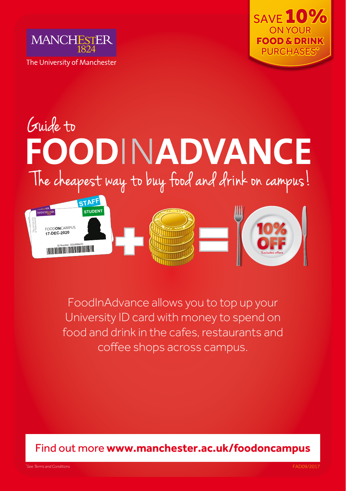



# Guide to<br>FOODINADVANCE The cheapest way to buy food and drink on campus!



FoodInAdvance allows you to top up your University ID card with money to spend on food and drink in the cafes, restaurants and coffee shops across campus.

Find out more **www.manchester.ac.uk/foodoncampus**